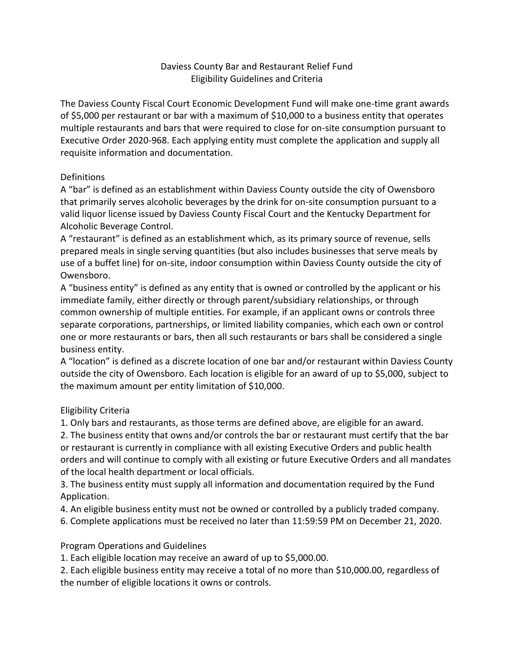## Daviess County Bar and Restaurant Relief Fund Eligibility Guidelines and Criteria

The Daviess County Fiscal Court Economic Development Fund will make one-time grant awards of \$5,000 per restaurant or bar with a maximum of \$10,000 to a business entity that operates multiple restaurants and bars that were required to close for on-site consumption pursuant to Executive Order 2020-968. Each applying entity must complete the application and supply all requisite information and documentation.

## **Definitions**

A "bar" is defined as an establishment within Daviess County outside the city of Owensboro that primarily serves alcoholic beverages by the drink for on-site consumption pursuant to a valid liquor license issued by Daviess County Fiscal Court and the Kentucky Department for Alcoholic Beverage Control.

A "restaurant" is defined as an establishment which, as its primary source of revenue, sells prepared meals in single serving quantities (but also includes businesses that serve meals by use of a buffet line) for on-site, indoor consumption within Daviess County outside the city of Owensboro.

A "business entity" is defined as any entity that is owned or controlled by the applicant or his immediate family, either directly or through parent/subsidiary relationships, or through common ownership of multiple entities. For example, if an applicant owns or controls three separate corporations, partnerships, or limited liability companies, which each own or control one or more restaurants or bars, then all such restaurants or bars shall be considered a single business entity.

A "location" is defined as a discrete location of one bar and/or restaurant within Daviess County outside the city of Owensboro. Each location is eligible for an award of up to \$5,000, subject to the maximum amount per entity limitation of \$10,000.

## Eligibility Criteria

1. Only bars and restaurants, as those terms are defined above, are eligible for an award.

2. The business entity that owns and/or controls the bar or restaurant must certify that the bar or restaurant is currently in compliance with all existing Executive Orders and public health orders and will continue to comply with all existing or future Executive Orders and all mandates of the local health department or local officials.

3. The business entity must supply all information and documentation required by the Fund Application.

4. An eligible business entity must not be owned or controlled by a publicly traded company.

6. Complete applications must be received no later than 11:59:59 PM on December 21, 2020.

## Program Operations and Guidelines

1. Each eligible location may receive an award of up to \$5,000.00.

2. Each eligible business entity may receive a total of no more than \$10,000.00, regardless of the number of eligible locations it owns or controls.